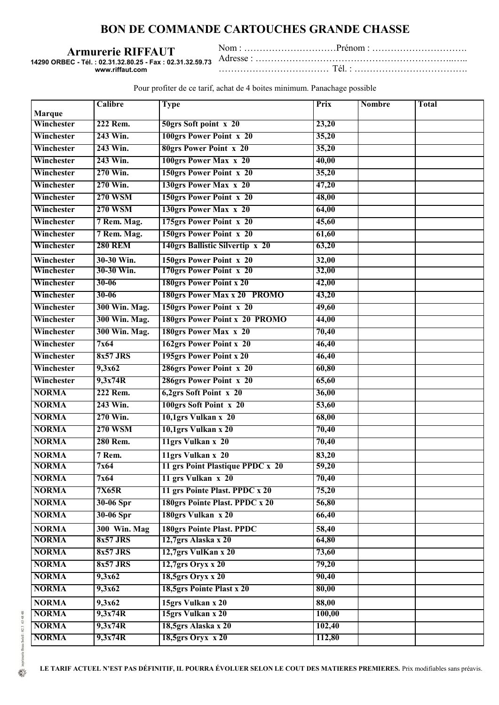## **BON DE COMMANDE CARTOUCHES GRANDE CHASSE**

**Armurerie RIFFAUT**

**14290 ORBEC - Tél. : 02.31.32.80.25 - Fax : 02.31.32.59.73 www.riffaut.com**

Nom : …………………………Prénom : …………………………. Adresse : ………………………………………………………..….. ……………………………… Tél. : ……………………………….

Pour profiter de ce tarif, achat de 4 boites minimum. Panachage possible

|               | Calibre         | <b>Type</b>                      | Prix   | <b>Nombre</b> | <b>Total</b> |
|---------------|-----------------|----------------------------------|--------|---------------|--------------|
| <b>Marque</b> |                 |                                  |        |               |              |
| Winchester    | 222 Rem.        | 50grs Soft point x 20            | 23,20  |               |              |
| Winchester    | 243 Win.        | 100grs Power Point x 20          | 35,20  |               |              |
| Winchester    | 243 Win.        | <b>80grs Power Point x 20</b>    | 35,20  |               |              |
| Winchester    | 243 Win.        | 100grs Power Max x 20            | 40,00  |               |              |
| Winchester    | 270 Win.        | 150grs Power Point x 20          | 35,20  |               |              |
| Winchester    | 270 Win.        | 130grs Power Max x 20            | 47,20  |               |              |
| Winchester    | <b>270 WSM</b>  | 150grs Power Point x 20          | 48,00  |               |              |
| Winchester    | <b>270 WSM</b>  | 130grs Power Max x 20            | 64,00  |               |              |
| Winchester    | 7 Rem. Mag.     | 175grs Power Point x 20          | 45,60  |               |              |
| Winchester    | 7 Rem. Mag.     | 150grs Power Point x 20          | 61,60  |               |              |
| Winchester    | <b>280 REM</b>  | 140grs Ballistic Silvertip x 20  | 63,20  |               |              |
| Winchester    | 30-30 Win.      | 150grs Power Point x 20          | 32,00  |               |              |
| Winchester    | 30-30 Win.      | 170grs Power Point x 20          | 32,00  |               |              |
| Winchester    | $30 - 06$       | 180grs Power Point x 20          | 42,00  |               |              |
| Winchester    | $30 - 06$       | 180grs Power Max x 20 PROMO      | 43,20  |               |              |
| Winchester    | 300 Win. Mag.   | 150grs Power Point x 20          | 49,60  |               |              |
| Winchester    | 300 Win. Mag.   | 180grs Power Point x 20 PROMO    | 44,00  |               |              |
| Winchester    | 300 Win. Mag.   | 180grs Power Max x 20            | 70,40  |               |              |
| Winchester    | 7x64            | 162grs Power Point x 20          | 46,40  |               |              |
| Winchester    | <b>8x57 JRS</b> | 195grs Power Point x 20          | 46,40  |               |              |
| Winchester    | 9,3x62          | 286grs Power Point x 20          | 60,80  |               |              |
| Winchester    | 9,3x74R         | 286grs Power Point x 20          | 65,60  |               |              |
| <b>NORMA</b>  | 222 Rem.        | 6,2grs Soft Point x 20           | 36,00  |               |              |
| <b>NORMA</b>  | 243 Win.        | 100grs Soft Point x 20           | 53,60  |               |              |
| <b>NORMA</b>  | 270 Win.        | 10,1grs Vulkan x 20              | 68,00  |               |              |
| <b>NORMA</b>  | <b>270 WSM</b>  | 10,1grs Vulkan x 20              | 70,40  |               |              |
| <b>NORMA</b>  | 280 Rem.        | 11grs Vulkan x 20                | 70,40  |               |              |
| <b>NORMA</b>  | 7 Rem.          | 11grs Vulkan x 20                | 83,20  |               |              |
| <b>NORMA</b>  | 7x64            | 11 grs Point Plastique PPDC x 20 | 59,20  |               |              |
| <b>NORMA</b>  | 7x64            | 11 grs Vulkan x 20               | 70,40  |               |              |
| <b>NORMA</b>  | 7X65R           | 11 grs Pointe Plast. PPDC x 20   | 75,20  |               |              |
| <b>NORMA</b>  | 30-06 Spr       | 180grs Pointe Plast. PPDC x 20   | 56,80  |               |              |
| <b>NORMA</b>  | 30-06 Spr       | 180grs Vulkan x 20               | 66,40  |               |              |
| <b>NORMA</b>  | 300 Win. Mag    | 180grs Pointe Plast. PPDC        | 58,40  |               |              |
| <b>NORMA</b>  | 8x57 JRS        | 12,7grs Alaska x 20              | 64,80  |               |              |
| <b>NORMA</b>  | 8x57 JRS        | 12,7grs VulKan x 20              | 73,60  |               |              |
| <b>NORMA</b>  | 8x57 JRS        | 12,7grs Oryx x 20                | 79,20  |               |              |
| <b>NORMA</b>  | 9,3x62          | 18,5grs Oryx x 20                | 90,40  |               |              |
| <b>NORMA</b>  | 9,3x62          | 18,5grs Pointe Plast x 20        | 80,00  |               |              |
| <b>NORMA</b>  | 9,3x62          | 15grs Vulkan x 20                | 88,00  |               |              |
| <b>NORMA</b>  | 9,3x74R         | 15grs Vulkan x 20                | 100,00 |               |              |
| <b>NORMA</b>  | 9,3x74R         | 18,5grs Alaska x 20              | 102,40 |               |              |
| <b>NORMA</b>  | 9,3x74R         | $18,5$ grs Oryx x 20             | 112,80 |               |              |

**LE TARIF ACTUEL N'EST PAS DÉFINITIF, IL POURRA ÉVOLUER SELON LE COUT DES MATIERES PREMIERES.** Prix modifiables sans préavis.